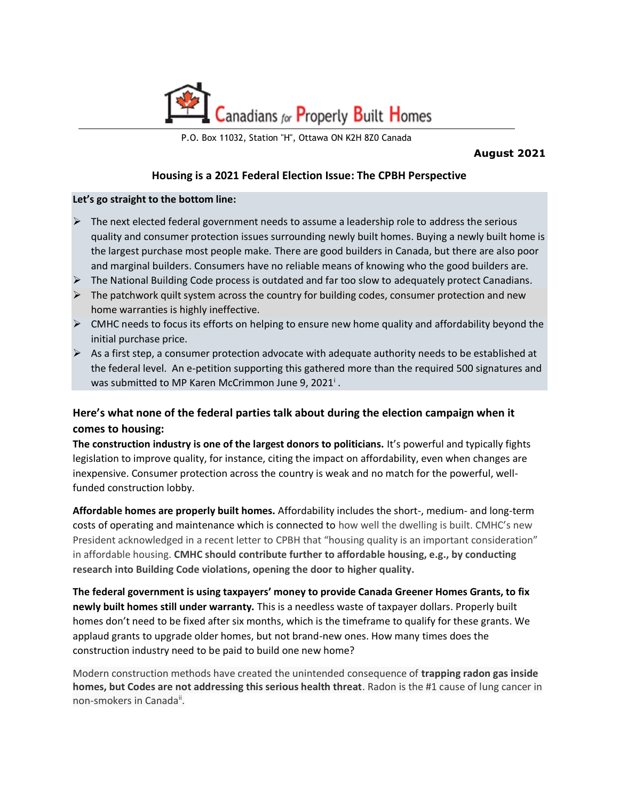

P.O. Box 11032, Station "H", Ottawa ON K2H 8Z0 Canada

**August 2021**

## **Housing is a 2021 Federal Election Issue: The CPBH Perspective**

## **Let's go straight to the bottom line:**

- $\triangleright$  The next elected federal government needs to assume a leadership role to address the serious quality and consumer protection issues surrounding newly built homes. Buying a newly built home is the largest purchase most people make. There are good builders in Canada, but there are also poor and marginal builders. Consumers have no reliable means of knowing who the good builders are.
- $\triangleright$  The National Building Code process is outdated and far too slow to adequately protect Canadians.
- $\triangleright$  The patchwork quilt system across the country for building codes, consumer protection and new home warranties is highly ineffective.
- $\triangleright$  CMHC needs to focus its efforts on helping to ensure new home quality and affordability beyond the initial purchase price.
- $\triangleright$  As a first step, a consumer protection advocate with adequate authority needs to be established at the federal level. An e-petition supporting this gathered more than the required 500 signatures and was submitted to MP Karen McCrimmon June 9, 2021<sup>i</sup>.

## **Here's what none of the federal parties talk about during the election campaign when it comes to housing:**

**The construction industry is one of the largest donors to politicians.** It's powerful and typically fights legislation to improve quality, for instance, citing the impact on affordability, even when changes are inexpensive. Consumer protection across the country is weak and no match for the powerful, wellfunded construction lobby.

**Affordable homes are properly built homes.** Affordability includes the short-, medium- and long-term costs of operating and maintenance which is connected to how well the dwelling is built. CMHC's new President acknowledged in a recent letter to CPBH that "housing quality is an important consideration" in affordable housing. **CMHC should contribute further to affordable housing, e.g., by conducting research into Building Code violations, opening the door to higher quality.**

**The federal government is using taxpayers' money to provide Canada Greener Homes Grants, to fix newly built homes still under warranty.** This is a needless waste of taxpayer dollars. Properly built homes don't need to be fixed after six months, which is the timeframe to qualify for these grants. We applaud grants to upgrade older homes, but not brand-new ones. How many times does the construction industry need to be paid to build one new home?

Modern construction methods have created the unintended consequence of **trapping radon gas inside homes, but Codes are not addressing this serious health threat**. Radon is the #1 cause of lung cancer in non-smokers in Canada<sup>ii</sup>.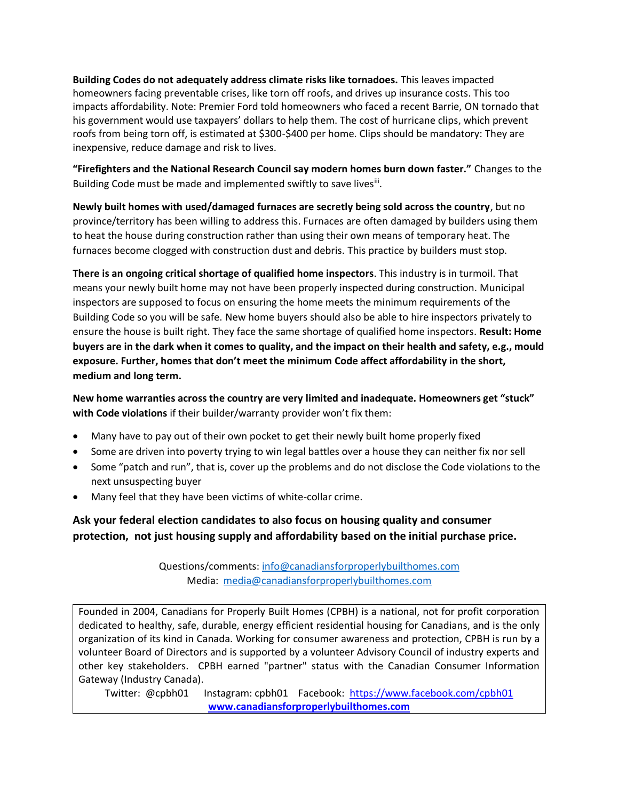**Building Codes do not adequately address climate risks like tornadoes.** This leaves impacted homeowners facing preventable crises, like torn off roofs, and drives up insurance costs. This too impacts affordability. Note: Premier Ford told homeowners who faced a recent Barrie, ON tornado that his government would use taxpayers' dollars to help them. The cost of hurricane clips, which prevent roofs from being torn off, is estimated at \$300-\$400 per home. Clips should be mandatory: They are inexpensive, reduce damage and risk to lives.

**"Firefighters and the National Research Council say modern homes burn down faster."** Changes to the Building Code must be made and implemented swiftly to save lives<sup>ii</sup>.

**Newly built homes with used/damaged furnaces are secretly being sold across the country**, but no province/territory has been willing to address this. Furnaces are often damaged by builders using them to heat the house during construction rather than using their own means of temporary heat. The furnaces become clogged with construction dust and debris. This practice by builders must stop.

**There is an ongoing critical shortage of qualified home inspectors**. This industry is in turmoil. That means your newly built home may not have been properly inspected during construction. Municipal inspectors are supposed to focus on ensuring the home meets the minimum requirements of the Building Code so you will be safe. New home buyers should also be able to hire inspectors privately to ensure the house is built right. They face the same shortage of qualified home inspectors. **Result: Home buyers are in the dark when it comes to quality, and the impact on their health and safety, e.g., mould exposure. Further, homes that don't meet the minimum Code affect affordability in the short, medium and long term.**

**New home warranties across the country are very limited and inadequate. Homeowners get "stuck" with Code violations** if their builder/warranty provider won't fix them:

- Many have to pay out of their own pocket to get their newly built home properly fixed
- Some are driven into poverty trying to win legal battles over a house they can neither fix nor sell
- Some "patch and run", that is, cover up the problems and do not disclose the Code violations to the next unsuspecting buyer
- Many feel that they have been victims of white-collar crime.

**Ask your federal election candidates to also focus on housing quality and consumer protection, not just housing supply and affordability based on the initial purchase price.**

> Questions/comments: [info@canadiansforproperlybuilthomes.com](mailto:info@canadiansforproperlybuilthomes.com) Media: [media@canadiansforproperlybuilthomes.com](mailto:media@canadiansforproperlybuilthomes.com)

Founded in 2004, Canadians for Properly Built Homes (CPBH) is a national, not for profit corporation dedicated to healthy, safe, durable, energy efficient residential housing for Canadians, and is the only organization of its kind in Canada. Working for consumer awareness and protection, CPBH is run by a volunteer Board of Directors and is supported by a volunteer Advisory Council of industry experts and other key stakeholders. CPBH earned "partner" status with the Canadian Consumer Information Gateway (Industry Canada).

Twitter: @cpbh01 Instagram: cpbh01 Facebook: <https://www.facebook.com/cpbh01> **[www.canadiansforproperlybuilthomes.com](http://www.canadiansforproperlybuilthomes.com/)**